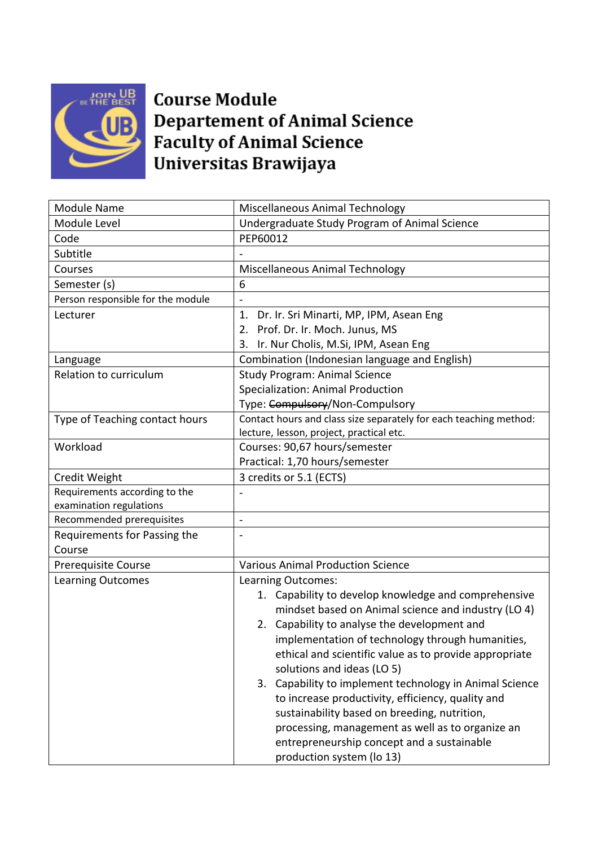

## **Course Module Departement of Animal Science Faculty of Animal Science** Universitas Brawijaya

| <b>Module Name</b>                | Miscellaneous Animal Technology                                                                                                                                                                                                                                                                                                                                                                                                         |
|-----------------------------------|-----------------------------------------------------------------------------------------------------------------------------------------------------------------------------------------------------------------------------------------------------------------------------------------------------------------------------------------------------------------------------------------------------------------------------------------|
| Module Level                      | Undergraduate Study Program of Animal Science                                                                                                                                                                                                                                                                                                                                                                                           |
| Code                              | PEP60012                                                                                                                                                                                                                                                                                                                                                                                                                                |
| Subtitle                          |                                                                                                                                                                                                                                                                                                                                                                                                                                         |
| Courses                           | Miscellaneous Animal Technology                                                                                                                                                                                                                                                                                                                                                                                                         |
| Semester (s)                      | 6                                                                                                                                                                                                                                                                                                                                                                                                                                       |
| Person responsible for the module |                                                                                                                                                                                                                                                                                                                                                                                                                                         |
| Lecturer                          | Dr. Ir. Sri Minarti, MP, IPM, Asean Eng<br>1.                                                                                                                                                                                                                                                                                                                                                                                           |
|                                   | 2. Prof. Dr. Ir. Moch. Junus, MS                                                                                                                                                                                                                                                                                                                                                                                                        |
|                                   | 3. Ir. Nur Cholis, M.Si, IPM, Asean Eng                                                                                                                                                                                                                                                                                                                                                                                                 |
| Language                          | Combination (Indonesian language and English)                                                                                                                                                                                                                                                                                                                                                                                           |
| Relation to curriculum            | <b>Study Program: Animal Science</b>                                                                                                                                                                                                                                                                                                                                                                                                    |
|                                   | Specialization: Animal Production                                                                                                                                                                                                                                                                                                                                                                                                       |
|                                   | Type: Compulsory/Non-Compulsory                                                                                                                                                                                                                                                                                                                                                                                                         |
| Type of Teaching contact hours    | Contact hours and class size separately for each teaching method:                                                                                                                                                                                                                                                                                                                                                                       |
|                                   | lecture, lesson, project, practical etc.                                                                                                                                                                                                                                                                                                                                                                                                |
| Workload                          | Courses: 90,67 hours/semester                                                                                                                                                                                                                                                                                                                                                                                                           |
|                                   | Practical: 1,70 hours/semester                                                                                                                                                                                                                                                                                                                                                                                                          |
| Credit Weight                     | 3 credits or 5.1 (ECTS)                                                                                                                                                                                                                                                                                                                                                                                                                 |
| Requirements according to the     |                                                                                                                                                                                                                                                                                                                                                                                                                                         |
| examination regulations           |                                                                                                                                                                                                                                                                                                                                                                                                                                         |
| Recommended prerequisites         | $\overline{\phantom{a}}$                                                                                                                                                                                                                                                                                                                                                                                                                |
| Requirements for Passing the      | $\qquad \qquad \blacksquare$                                                                                                                                                                                                                                                                                                                                                                                                            |
| Course                            |                                                                                                                                                                                                                                                                                                                                                                                                                                         |
| <b>Prerequisite Course</b>        | <b>Various Animal Production Science</b>                                                                                                                                                                                                                                                                                                                                                                                                |
| <b>Learning Outcomes</b>          | Learning Outcomes:                                                                                                                                                                                                                                                                                                                                                                                                                      |
|                                   | 1. Capability to develop knowledge and comprehensive                                                                                                                                                                                                                                                                                                                                                                                    |
|                                   | mindset based on Animal science and industry (LO 4)                                                                                                                                                                                                                                                                                                                                                                                     |
|                                   | 2. Capability to analyse the development and                                                                                                                                                                                                                                                                                                                                                                                            |
|                                   |                                                                                                                                                                                                                                                                                                                                                                                                                                         |
|                                   |                                                                                                                                                                                                                                                                                                                                                                                                                                         |
|                                   |                                                                                                                                                                                                                                                                                                                                                                                                                                         |
|                                   |                                                                                                                                                                                                                                                                                                                                                                                                                                         |
|                                   |                                                                                                                                                                                                                                                                                                                                                                                                                                         |
|                                   |                                                                                                                                                                                                                                                                                                                                                                                                                                         |
|                                   |                                                                                                                                                                                                                                                                                                                                                                                                                                         |
|                                   |                                                                                                                                                                                                                                                                                                                                                                                                                                         |
|                                   | implementation of technology through humanities,<br>ethical and scientific value as to provide appropriate<br>solutions and ideas (LO 5)<br>3. Capability to implement technology in Animal Science<br>to increase productivity, efficiency, quality and<br>sustainability based on breeding, nutrition,<br>processing, management as well as to organize an<br>entrepreneurship concept and a sustainable<br>production system (lo 13) |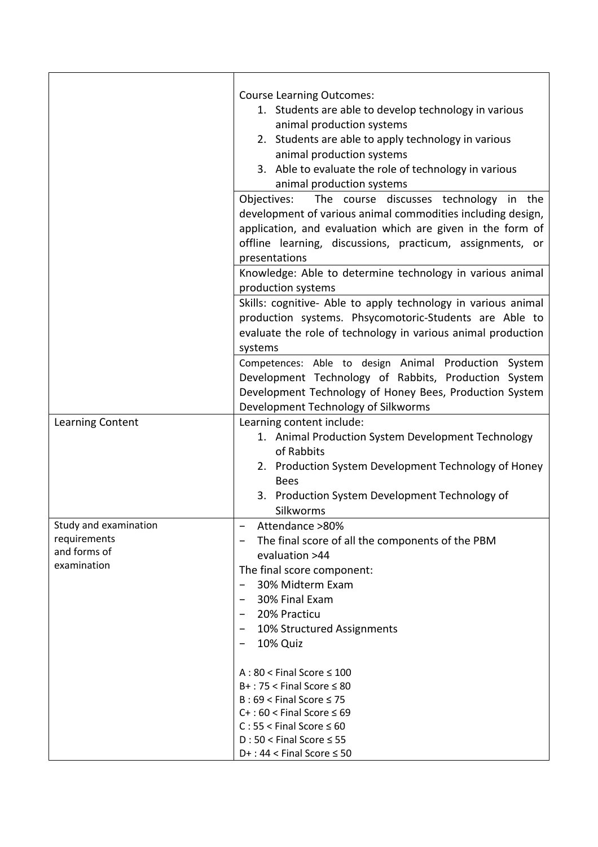|                                                                      | <b>Course Learning Outcomes:</b><br>1. Students are able to develop technology in various<br>animal production systems<br>2. Students are able to apply technology in various<br>animal production systems<br>3. Able to evaluate the role of technology in various<br>animal production systems                                                                                                                     |
|----------------------------------------------------------------------|----------------------------------------------------------------------------------------------------------------------------------------------------------------------------------------------------------------------------------------------------------------------------------------------------------------------------------------------------------------------------------------------------------------------|
|                                                                      | Objectives:<br>The course discusses technology in the<br>development of various animal commodities including design,<br>application, and evaluation which are given in the form of<br>offline learning, discussions, practicum, assignments, or<br>presentations<br>Knowledge: Able to determine technology in various animal<br>production systems<br>Skills: cognitive- Able to apply technology in various animal |
|                                                                      | production systems. Phsycomotoric-Students are Able to<br>evaluate the role of technology in various animal production<br>systems<br>Competences: Able to design Animal Production System<br>Development Technology of Rabbits, Production System<br>Development Technology of Honey Bees, Production System                                                                                                         |
| Learning Content                                                     | Development Technology of Silkworms<br>Learning content include:<br>1. Animal Production System Development Technology<br>of Rabbits<br>2. Production System Development Technology of Honey<br><b>Bees</b><br>3. Production System Development Technology of<br>Silkworms                                                                                                                                           |
| Study and examination<br>requirements<br>and forms of<br>examination | Attendance >80%<br>The final score of all the components of the PBM<br>$\overline{\phantom{m}}$<br>evaluation >44<br>The final score component:<br>30% Midterm Exam<br>30% Final Exam<br>$\qquad \qquad$<br>20% Practicu<br>10% Structured Assignments<br>-<br>10% Quiz                                                                                                                                              |
|                                                                      | $A:80 <$ Final Score $\leq 100$<br>$B+$ : 75 < Final Score $\leq 80$<br>$B:69 <$ Final Score $\leq 75$<br>$C+$ : 60 < Final Score $\leq 69$<br>$C: 55 <$ Final Score $\leq 60$<br>$D:50 <$ Final Score $\leq 55$<br>$D+$ : 44 < Final Score $\leq$ 50                                                                                                                                                                |